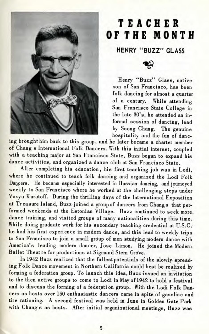

## **TEACHE R O F TH E MONT H**

**HENRY "BUZZ" GLASS**

ాన్లి

Henry "Buzz" Glass, native son of San Francisco, has been folk dancing for almost a quarter of a century. While attending San Francisco State College in the late 30's, he attended an informal session of dancing, lead by Soong Chang. The genuine hospitality and the fun of danc-

ing brought him back to this group, and he later became a charter member of Chang s International Folk Dancers. With this initial interest, coupled with a teaching major at San Francisco State, Buzz began to expand his dance activities, and organized a dance club at San Francisco State.

After completing his education, his first teaching job was in Lodi, where he continued to teach folk dancing and organized the Lodi Folk Dancers. He became especially interested in Russian dancing, and journeyed weekly to San Francisco where he worked at the challenging steps under Vasya Kuratoff. During the thrilling days of the International Exposition at Treasure Island, Buzz joined a group of dancers from Changs that performed weekends at the Estonian Village. Buzz continued to seek more, dance training, and visited groups of many nationalities during this time. While doing graduate work for his secondary teaching credential at U.S.C. he had his first experience in modern dance, and this lead to weekly trips to San Francisco to join a small group of men studying modern dance with America's leading modern dancer, Jose Limon. He joined the Modern Ballet Theatre for productions at Sigmund Stern Grove.

In 1942 Buzz realized that the fullest potentials of the slowly spreading Folk Dance movement in Northern California could best be realized by forming a federation group. To launch this idea, Buzz issued an invitation to the then active groups to come to Lodi in May of 1942 to hold a festival and to discuss the forming of a federation group. With the Lodi Folk Dancers as hosts over 150 enthusiastic dancers came in spite of gasoline and tire rationing. A second festival was held in June in Golden Gate Park with Chang s as hosts. After initial organizational meetings, Buzz was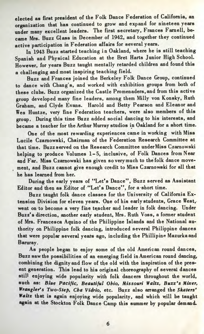elected as first president of the Folk Dance Federation of California, an organization that has continued to grow and expand for nineteen years under many excellent leaders. The first secretary, Frances Farnell, became Mrs. Buzz Glass in December of 1942, and together they continued active participation in Federation affairs for several years.

In 1943 Buzz started teaching in Oakland, where he is still teaching Spanish and Physical Education at the Bret Harts Junior High School. However, for years Buzz taught mentally retarded children and found this a challenging and most inspiring teaching field.

Buzz and Frances joined the Berkeley Folk Dance Group, continued to dance with Chang's, and worked with exhibition groups from both of these clubs. Buzz organized the Castle Promenaders,and from this active group developed many fine leaders, among them Milly von Konsky, Ruth Graham, and Clyde Evans. Harold and Betty Pearson and Eleanor and Wes Huntze, very fine Federation teachers, were also members of this group. During this time Buzz added social dancing to his interests, and became a teacher for the Arthur Murray studios in Oakland for a short time.

One of the most rewarding experiences came in working with Miss Lucile Czarnowski, Chairman of the Federation Research Committee at that time. Buzz served on the Research Committee underMiss Czarnowski helping to produce Volumes 1-5, inclusive, of Folk Dances from Near and Far. Miss Czarnowski has given so very much to the folk dance movement, and Buzz cannot give enough credit to Miss Czarnowski for all that he has learned from her.

During the early years of "Let's Dance", Buzz served as Assistant Editor and then as Editor of "Let's Dance", for a short time.

Buzz taught folk dance classes for the University of California Extension Division for eleven years. One of his early students, Grace West, went on to become a very fine teacher and leader in folk dancing. Under Buzz's direction, another early student, Mrs. Ruth Voss, a former student of Mrs. Francesca Aquino of the Philippine Islands and the National authority on Philippine folk dancing, introduced several Philippine dances that were popular several years ago, including the Phillipine Mazurkaand Baruray.

As people began to enjoy some of the old American round dances, Buzz saw the possibilities of an emerging field in American round dancing, combining the dignity and flow of the old with the inspiration of the present generation. This lead to his original choreography of several dances still enjoying wide popularity with folk dancers throughout the world, such as: *Blue Pacific. Beautiful Ohio, Missouri Waltz, Buzz's Mixer, Wrangler's Two-Step, Cha Vidrio,* etc. Buzz also arranged the *Skaters' Waltz* that is again enjoying wide popularity, and which will be taught again at the Stockton Folk Dance Camp this summer by popular demand.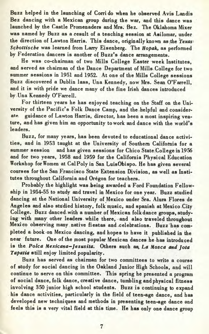Buzz helped in the launching of Corri do when he observed Avis Landis Bez dancing with a Mexican group during the war, and this dance was launched by the Castle Promenaders and Mrs. Bez. The Oklahoma Mixer was named by Buzz as a result of a teaching session at Asilomar, under the direction of Lawton Harris. This dance, originally known as the *Texas Schottische* was learned from Larry Eisenberg. The *Hopak*, as performed by Federation dancers is another of Buzz's dance arrangements.

He was co-chairman of two Mills College Easter week Institutes, and served as chairman of the Dance Department of Mills College for two summer sessions in 1951 and 1952. At one of the Mills College sessions Buzz discovered a Dublin lass, Una Kennedy, now Mrs. Sean O'Farrell, and it is with pride we dance many of the fine Irish dances introduced by Una Kennedy O'Farrell.

For thirteen years he has enjoyed teaching on the Staff on the University of the Pacific's Folk Dance Camp, and the helpful and considerate guidance of Lawton Harris, director, has been a most inspiring venture, and has given him an opportunity to work and dance with the world's leaders.

Buzz, for many years, has been devoted to educational dance activities, and in 1953 taught at the University of Southern California for a summer session and has given sessions for Chico State College in 1956 and for two years, 1958 and 1959 for the California Physical Education Workshop for Women at CalPoly in San LuisObispo. He has given several courses for the San Francisco State Extension Division, as well as Institutes throughout California and Oregon for teachers.

Probably the highlight was being awarded a Ford Foundation Fellowship in 1954-55 to study and travel in Mexico for one year. Buzz studied dancing at the National University of Mexico under Sra. Alura Flores de Angeles and also studied history, folk music, and spanish at Mexico City College. Buzz danced, with a number of Mexican folk dance groups, studying with many other leaders while there, and also traveled throughout Mexico observing many native fiestas and .celebrations. Buzz has completed a book on Mexico dancing, and hopes to have it published in the near future. One of the most popular Mexican dances he has introduced is the *Polca Mexicans—Jesusita.* Others such as. *La Mosca and Jota Tapatia* still enjoy limited popularity.

Buzz has served as chairman for two committees to write a course of study for social dancing in the Oakland Junior High Schools, and will continue to serve on this committee. This spring he presented a program of social dance, folk dance, creative dance, tumbling and physical fitness involving 350 junior high school students. Buzz is continuing to expand his dance activities, particularly in the field of teen-age dance, and has developed new techniques and methods in presenting teen-age dance and feels this is a very vital field at this time. He has only one dance group